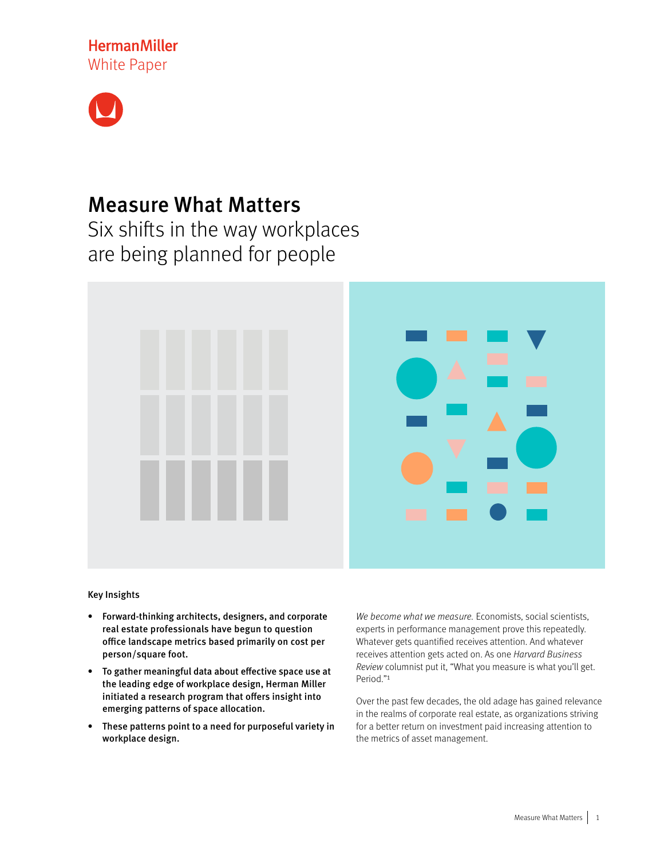**HermanMiller** White Paper



# Measure What Matters

Six shifts in the way workplaces are being planned for people



Key Insights

- Forward-thinking architects, designers, and corporate real estate professionals have begun to question office landscape metrics based primarily on cost per person/square foot.
- To gather meaningful data about effective space use at the leading edge of workplace design, Herman Miller initiated a research program that offers insight into emerging patterns of space allocation.
- These patterns point to a need for purposeful variety in workplace design.

We become what we measure. Economists, social scientists, experts in performance management prove this repeatedly. Whatever gets quantified receives attention. And whatever receives attention gets acted on. As one Harvard Business Review columnist put it, "What you measure is what you'll get. Period."1

Over the past few decades, the old adage has gained relevance in the realms of corporate real estate, as organizations striving for a better return on investment paid increasing attention to the metrics of asset management.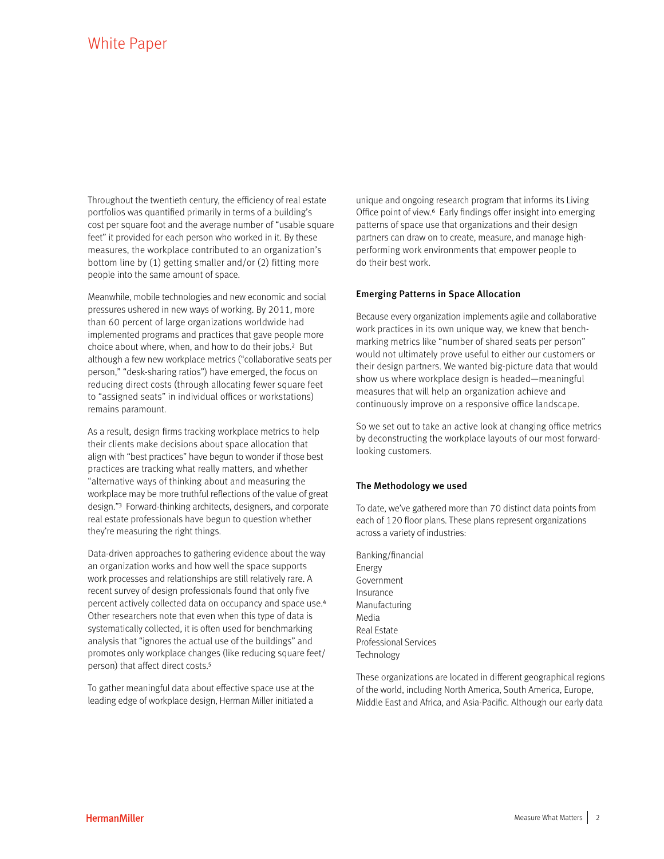Throughout the twentieth century, the efficiency of real estate portfolios was quantified primarily in terms of a building's cost per square foot and the average number of "usable square feet" it provided for each person who worked in it. By these measures, the workplace contributed to an organization's bottom line by (1) getting smaller and/or (2) fitting more people into the same amount of space.

Meanwhile, mobile technologies and new economic and social pressures ushered in new ways of working. By 2011, more than 60 percent of large organizations worldwide had implemented programs and practices that gave people more choice about where, when, and how to do their jobs.2 But although a few new workplace metrics ("collaborative seats per person," "desk-sharing ratios") have emerged, the focus on reducing direct costs (through allocating fewer square feet to "assigned seats" in individual offices or workstations) remains paramount.

As a result, design firms tracking workplace metrics to help their clients make decisions about space allocation that align with "best practices" have begun to wonder if those best practices are tracking what really matters, and whether "alternative ways of thinking about and measuring the workplace may be more truthful reflections of the value of great design."3 Forward-thinking architects, designers, and corporate real estate professionals have begun to question whether they're measuring the right things.

Data-driven approaches to gathering evidence about the way an organization works and how well the space supports work processes and relationships are still relatively rare. A recent survey of design professionals found that only five percent actively collected data on occupancy and space use.4 Other researchers note that even when this type of data is systematically collected, it is often used for benchmarking analysis that "ignores the actual use of the buildings" and promotes only workplace changes (like reducing square feet/ person) that affect direct costs.5

To gather meaningful data about effective space use at the leading edge of workplace design, Herman Miller initiated a unique and ongoing research program that informs its Living Office point of view.<sup>6</sup> Early findings offer insight into emerging patterns of space use that organizations and their design partners can draw on to create, measure, and manage highperforming work environments that empower people to do their best work.

## Emerging Patterns in Space Allocation

Because every organization implements agile and collaborative work practices in its own unique way, we knew that benchmarking metrics like "number of shared seats per person" would not ultimately prove useful to either our customers or their design partners. We wanted big-picture data that would show us where workplace design is headed—meaningful measures that will help an organization achieve and continuously improve on a responsive office landscape.

So we set out to take an active look at changing office metrics by deconstructing the workplace layouts of our most forwardlooking customers.

### The Methodology we used

To date, we've gathered more than 70 distinct data points from each of 120 floor plans. These plans represent organizations across a variety of industries:

Banking/financial Energy Government Insurance Manufacturing Media Real Estate Professional Services **Technology** 

These organizations are located in different geographical regions of the world, including North America, South America, Europe, Middle East and Africa, and Asia-Pacific. Although our early data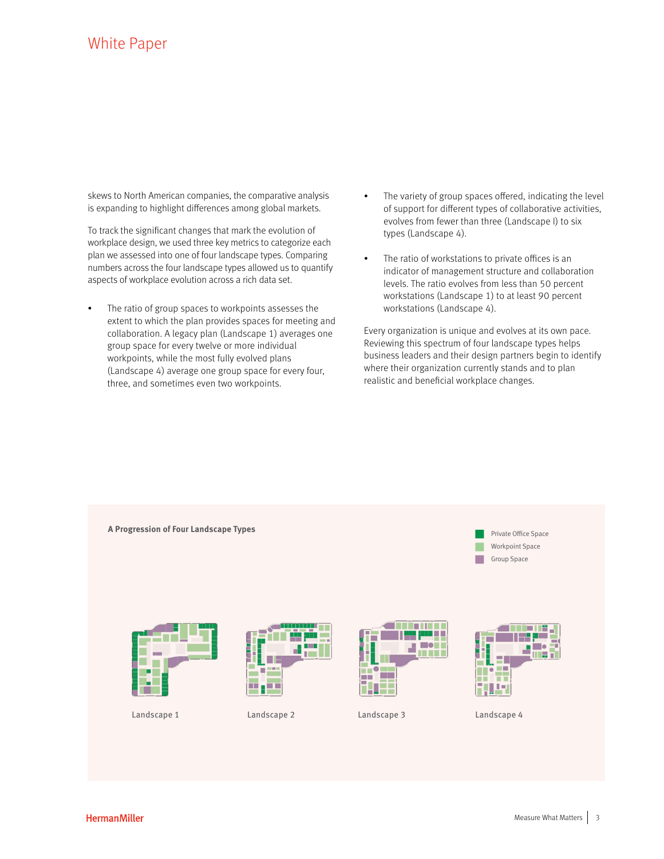skews to North American companies, the comparative analysis is expanding to highlight differences among global markets.

To track the significant changes that mark the evolution of workplace design, we used three key metrics to categorize each plan we assessed into one of four landscape types. Comparing numbers across the four landscape types allowed us to quantify aspects of workplace evolution across a rich data set.

- The ratio of group spaces to workpoints assesses the extent to which the plan provides spaces for meeting and collaboration. A legacy plan (Landscape 1) averages one group space for every twelve or more individual workpoints, while the most fully evolved plans (Landscape 4) average one group space for every four, three, and sometimes even two workpoints.
- The variety of group spaces offered, indicating the level of support for different types of collaborative activities, evolves from fewer than three (Landscape I) to six types (Landscape 4).
- The ratio of workstations to private offices is an indicator of management structure and collaboration levels. The ratio evolves from less than 50 percent workstations (Landscape 1) to at least 90 percent workstations (Landscape 4).

Every organization is unique and evolves at its own pace. Reviewing this spectrum of four landscape types helps business leaders and their design partners begin to identify where their organization currently stands and to plan realistic and beneficial workplace changes.

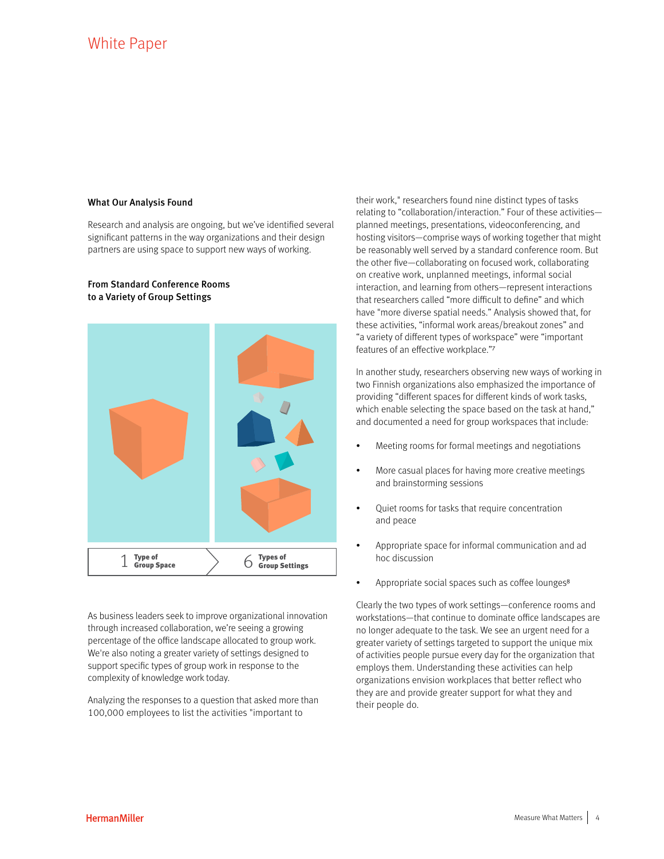### What Our Analysis Found

From Standard Conference Rooms to a Variety of Group Settings

Research and analysis are ongoing, but we've identified several significant patterns in the way organizations and their design partners are using space to support new ways of working.

# $1$  Type of  $\overline{\phantom{0}}$  6  $\overline{\phantom{0}}$  6  $\overline{\phantom{0}}$ Types of Group Settings

As business leaders seek to improve organizational innovation through increased collaboration, we're seeing a growing percentage of the office landscape allocated to group work. We're also noting a greater variety of settings designed to support specific types of group work in response to the complexity of knowledge work today.

Analyzing the responses to a question that asked more than 100,000 employees to list the activities "important to

their work," researchers found nine distinct types of tasks relating to "collaboration/interaction." Four of these activities planned meetings, presentations, videoconferencing, and hosting visitors—comprise ways of working together that might be reasonably well served by a standard conference room. But the other five—collaborating on focused work, collaborating on creative work, unplanned meetings, informal social interaction, and learning from others—represent interactions that researchers called "more difficult to define" and which have "more diverse spatial needs." Analysis showed that, for these activities, "informal work areas/breakout zones" and "a variety of different types of workspace" were "important features of an effective workplace."7

In another study, researchers observing new ways of working in two Finnish organizations also emphasized the importance of providing "different spaces for different kinds of work tasks, which enable selecting the space based on the task at hand," and documented a need for group workspaces that include:

- Meeting rooms for formal meetings and negotiations
- More casual places for having more creative meetings and brainstorming sessions
- Quiet rooms for tasks that require concentration and peace
- Appropriate space for informal communication and ad hoc discussion
- Appropriate social spaces such as coffee lounges<sup>8</sup>

Clearly the two types of work settings—conference rooms and workstations—that continue to dominate office landscapes are no longer adequate to the task. We see an urgent need for a greater variety of settings targeted to support the unique mix of activities people pursue every day for the organization that employs them. Understanding these activities can help organizations envision workplaces that better reflect who they are and provide greater support for what they and their people do.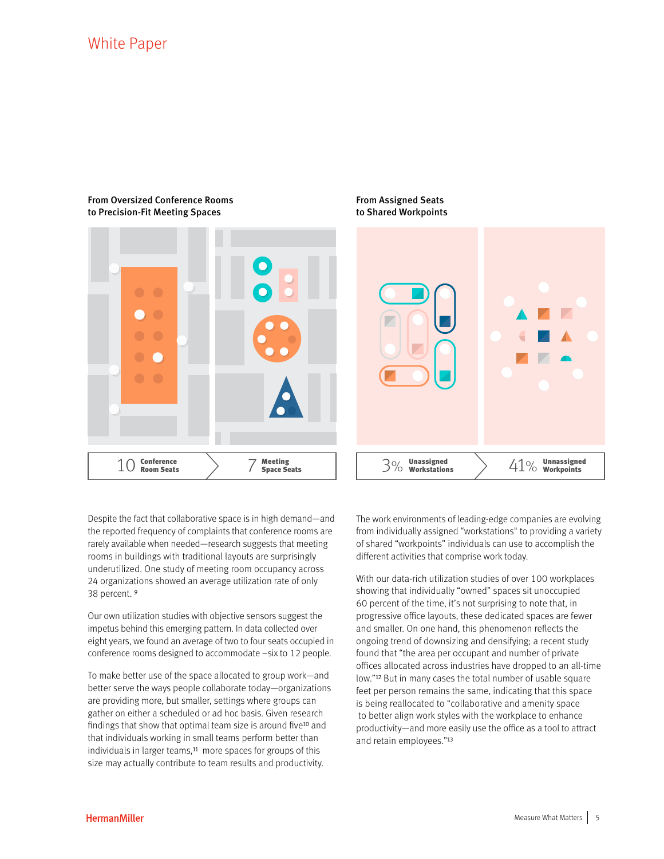### From Oversized Conference Rooms to Precision-Fit Meeting Spaces



From Assigned Seats to Shared Workpoints

Despite the fact that collaborative space is in high demand—and the reported frequency of complaints that conference rooms are rarely available when needed—research suggests that meeting rooms in buildings with traditional layouts are surprisingly underutilized. One study of meeting room occupancy across 24 organizations showed an average utilization rate of only 38 percent. 9

Our own utilization studies with objective sensors suggest the impetus behind this emerging pattern. In data collected over eight years, we found an average of two to four seats occupied in conference rooms designed to accommodate –six to 12 people.

To make better use of the space allocated to group work—and better serve the ways people collaborate today—organizations are providing more, but smaller, settings where groups can gather on either a scheduled or ad hoc basis. Given research findings that show that optimal team size is around five<sup>10</sup> and that individuals working in small teams perform better than individuals in larger teams,<sup>11</sup> more spaces for groups of this size may actually contribute to team results and productivity.

The work environments of leading-edge companies are evolving from individually assigned "workstations" to providing a variety of shared "workpoints" individuals can use to accomplish the different activities that comprise work today.

With our data-rich utilization studies of over 100 workplaces showing that individually "owned" spaces sit unoccupied 60 percent of the time, it's not surprising to note that, in progressive office layouts, these dedicated spaces are fewer and smaller. On one hand, this phenomenon reflects the ongoing trend of downsizing and densifying; a recent study found that "the area per occupant and number of private offices allocated across industries have dropped to an all-time low."12 But in many cases the total number of usable square feet per person remains the same, indicating that this space is being reallocated to "collaborative and amenity space to better align work styles with the workplace to enhance productivity—and more easily use the office as a tool to attract and retain employees."13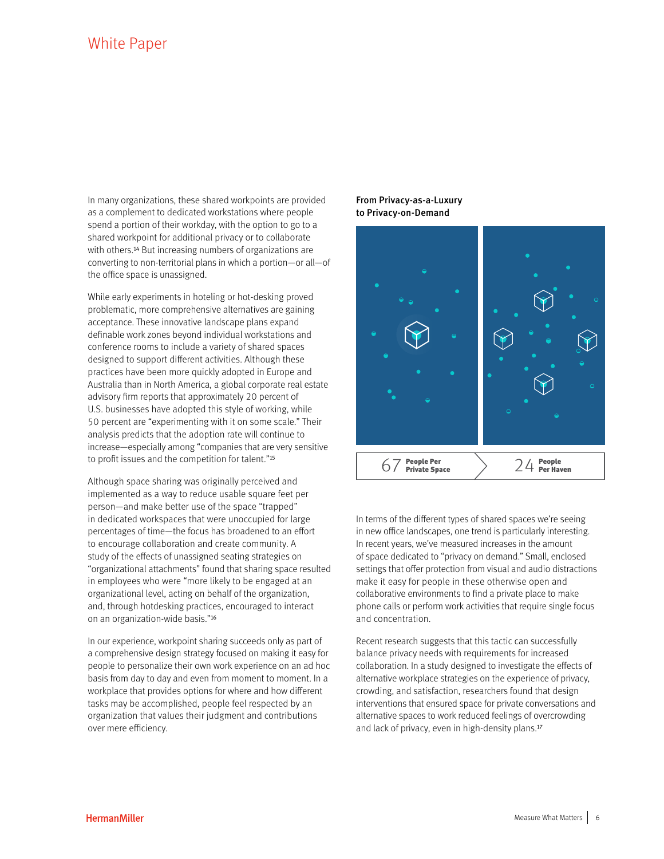In many organizations, these shared workpoints are provided as a complement to dedicated workstations where people spend a portion of their workday, with the option to go to a shared workpoint for additional privacy or to collaborate with others.14 But increasing numbers of organizations are converting to non-territorial plans in which a portion—or all—of the office space is unassigned.

While early experiments in hoteling or hot-desking proved problematic, more comprehensive alternatives are gaining acceptance. These innovative landscape plans expand definable work zones beyond individual workstations and conference rooms to include a variety of shared spaces designed to support different activities. Although these practices have been more quickly adopted in Europe and Australia than in North America, a global corporate real estate advisory firm reports that approximately 20 percent of U.S. businesses have adopted this style of working, while 50 percent are "experimenting with it on some scale." Their analysis predicts that the adoption rate will continue to increase—especially among "companies that are very sensitive to profit issues and the competition for talent."15

Although space sharing was originally perceived and implemented as a way to reduce usable square feet per person—and make better use of the space "trapped" in dedicated workspaces that were unoccupied for large percentages of time—the focus has broadened to an effort to encourage collaboration and create community. A study of the effects of unassigned seating strategies on "organizational attachments" found that sharing space resulted in employees who were "more likely to be engaged at an organizational level, acting on behalf of the organization, and, through hotdesking practices, encouraged to interact on an organization-wide basis."16

In our experience, workpoint sharing succeeds only as part of a comprehensive design strategy focused on making it easy for people to personalize their own work experience on an ad hoc basis from day to day and even from moment to moment. In a workplace that provides options for where and how different tasks may be accomplished, people feel respected by an organization that values their judgment and contributions over mere efficiency.

# From Privacy-as-a-Luxury to Privacy-on-Demand



In terms of the different types of shared spaces we're seeing in new office landscapes, one trend is particularly interesting. In recent years, we've measured increases in the amount of space dedicated to "privacy on demand." Small, enclosed settings that offer protection from visual and audio distractions make it easy for people in these otherwise open and collaborative environments to find a private place to make phone calls or perform work activities that require single focus and concentration.

Recent research suggests that this tactic can successfully balance privacy needs with requirements for increased collaboration. In a study designed to investigate the effects of alternative workplace strategies on the experience of privacy, crowding, and satisfaction, researchers found that design interventions that ensured space for private conversations and alternative spaces to work reduced feelings of overcrowding and lack of privacy, even in high-density plans.17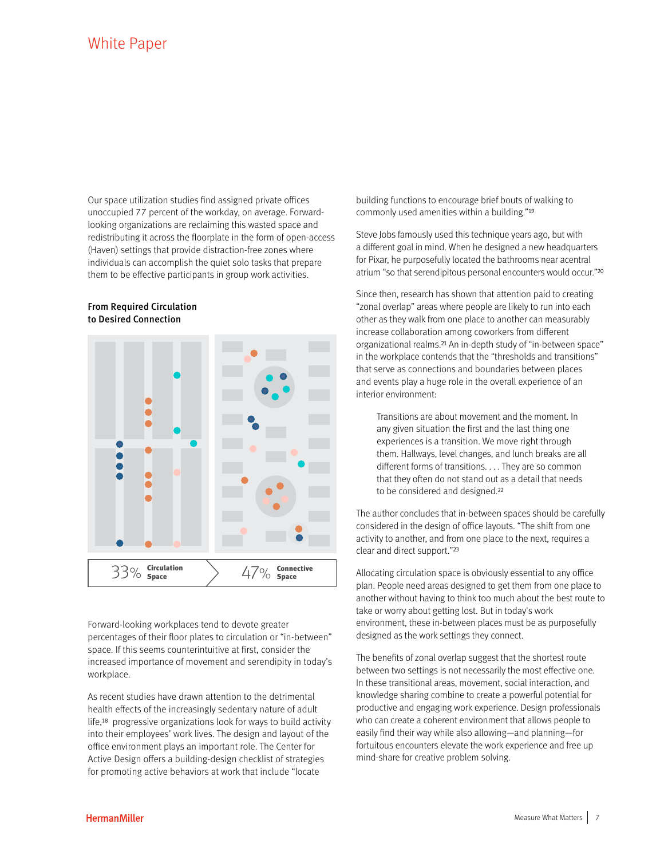Our space utilization studies find assigned private offices unoccupied 77 percent of the workday, on average. Forwardlooking organizations are reclaiming this wasted space and redistributing it across the floorplate in the form of open-access (Haven) settings that provide distraction-free zones where individuals can accomplish the quiet solo tasks that prepare them to be effective participants in group work activities.

### From Required Circulation to Desired Connection



Forward-looking workplaces tend to devote greater percentages of their floor plates to circulation or "in-between" space. If this seems counterintuitive at first, consider the increased importance of movement and serendipity in today's workplace.

As recent studies have drawn attention to the detrimental health effects of the increasingly sedentary nature of adult life,18 progressive organizations look for ways to build activity into their employees' work lives. The design and layout of the office environment plays an important role. The Center for Active Design offers a building-design checklist of strategies for promoting active behaviors at work that include "locate

building functions to encourage brief bouts of walking to commonly used amenities within a building."19

Steve Jobs famously used this technique years ago, but with a different goal in mind. When he designed a new headquarters for Pixar, he purposefully located the bathrooms near acentral atrium "so that serendipitous personal encounters would occur."20

Since then, research has shown that attention paid to creating "zonal overlap" areas where people are likely to run into each other as they walk from one place to another can measurably increase collaboration among coworkers from different organizational realms.21 An in-depth study of "in-between space" in the workplace contends that the "thresholds and transitions" that serve as connections and boundaries between places and events play a huge role in the overall experience of an interior environment:

Transitions are about movement and the moment. In any given situation the first and the last thing one experiences is a transition. We move right through them. Hallways, level changes, and lunch breaks are all different forms of transitions. . . . They are so common that they often do not stand out as a detail that needs to be considered and designed.22

The author concludes that in-between spaces should be carefully considered in the design of office layouts. "The shift from one activity to another, and from one place to the next, requires a clear and direct support."23

Allocating circulation space is obviously essential to any office plan. People need areas designed to get them from one place to another without having to think too much about the best route to take or worry about getting lost. But in today's work environment, these in-between places must be as purposefully designed as the work settings they connect.

The benefits of zonal overlap suggest that the shortest route between two settings is not necessarily the most effective one. In these transitional areas, movement, social interaction, and knowledge sharing combine to create a powerful potential for productive and engaging work experience. Design professionals who can create a coherent environment that allows people to easily find their way while also allowing—and planning—for fortuitous encounters elevate the work experience and free up mind-share for creative problem solving.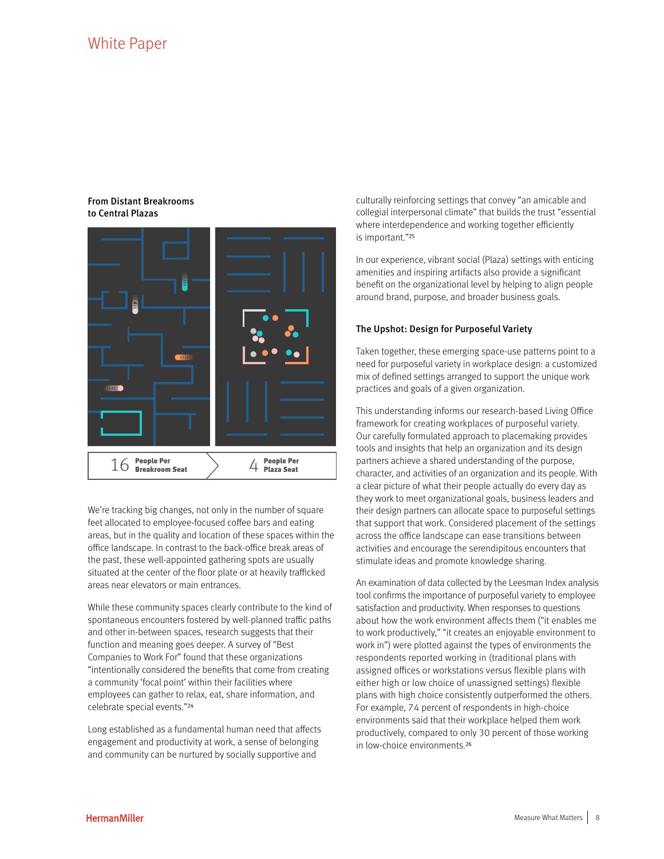## From Distant Breakrooms to Central Plazas



We're tracking big changes, not only in the number of square feet allocated to employee-focused coffee bars and eating areas, but in the quality and location of these spaces within the office landscape. In contrast to the back-office break areas of the past, these well-appointed gathering spots are usually situated at the center of the floor plate or at heavily trafficked areas near elevators or main entrances.

While these community spaces clearly contribute to the kind of spontaneous encounters fostered by well-planned traffic paths and other in-between spaces, research suggests that their function and meaning goes deeper. A survey of "Best Companies to Work For" found that these organizations "intentionally considered the benefits that come from creating a community 'focal point' within their facilities where employees can gather to relax, eat, share information, and celebrate special events."24

Long established as a fundamental human need that affects engagement and productivity at work, a sense of belonging and community can be nurtured by socially supportive and

culturally reinforcing settings that convey "an amicable and collegial interpersonal climate" that builds the trust "essential where interdependence and working together efficiently is important."25

In our experience, vibrant social (Plaza) settings with enticing amenities and inspiring artifacts also provide a significant benefit on the organizational level by helping to align people around brand, purpose, and broader business goals.

## The Upshot: Design for Purposeful Variety

Taken together, these emerging space-use patterns point to a need for purposeful variety in workplace design: a customized mix of defined settings arranged to support the unique work practices and goals of a given organization.

This understanding informs our research-based Living Office framework for creating workplaces of purposeful variety. Our carefully formulated approach to placemaking provides tools and insights that help an organization and its design partners achieve a shared understanding of the purpose, character, and activities of an organization and its people. With a clear picture of what their people actually do every day as they work to meet organizational goals, business leaders and their design partners can allocate space to purposeful settings that support that work. Considered placement of the settings across the office landscape can ease transitions between activities and encourage the serendipitous encounters that stimulate ideas and promote knowledge sharing.

An examination of data collected by the Leesman Index analysis tool confirms the importance of purposeful variety to employee satisfaction and productivity. When responses to questions about how the work environment affects them ("it enables me to work productively," "it creates an enjoyable environment to work in") were plotted against the types of environments the respondents reported working in (traditional plans with assigned offices or workstations versus flexible plans with either high or low choice of unassigned settings) flexible plans with high choice consistently outperformed the others. For example, 74 percent of respondents in high-choice environments said that their workplace helped them work productively, compared to only 30 percent of those working in low-choice environments.26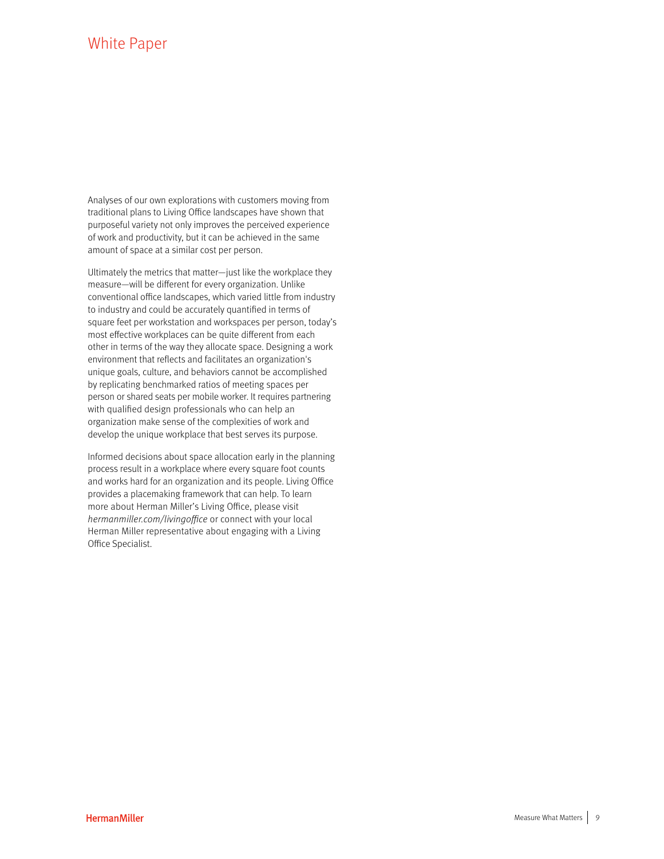Analyses of our own explorations with customers moving from traditional plans to Living Office landscapes have shown that purposeful variety not only improves the perceived experience of work and productivity, but it can be achieved in the same amount of space at a similar cost per person.

Ultimately the metrics that matter—just like the workplace they measure—will be different for every organization. Unlike conventional office landscapes, which varied little from industry to industry and could be accurately quantified in terms of square feet per workstation and workspaces per person, today's most effective workplaces can be quite different from each other in terms of the way they allocate space. Designing a work environment that reflects and facilitates an organization's unique goals, culture, and behaviors cannot be accomplished by replicating benchmarked ratios of meeting spaces per person or shared seats per mobile worker. It requires partnering with qualified design professionals who can help an organization make sense of the complexities of work and develop the unique workplace that best serves its purpose.

Informed decisions about space allocation early in the planning process result in a workplace where every square foot counts and works hard for an organization and its people. Living Office provides a placemaking framework that can help. To learn more about Herman Miller's Living Office, please visit [hermanmiller.com/livingoffice](http://www.hermanmiller.com/solutions/living-office/placemaking.html) or connect with your local Herman Miller representative about engaging with a Living Office Specialist.